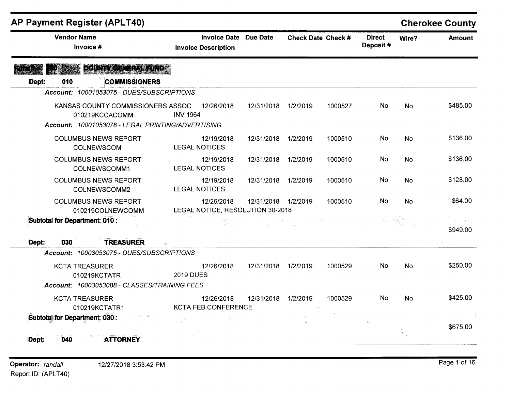| <b>AP Payment Register (APLT40)</b>                                                                      |                                                            |                     |          |                    |                           |           | <b>Cherokee County</b> |
|----------------------------------------------------------------------------------------------------------|------------------------------------------------------------|---------------------|----------|--------------------|---------------------------|-----------|------------------------|
| <b>Vendor Name</b><br>Invoice #                                                                          | <b>Invoice Date Due Date</b><br><b>Invoice Description</b> |                     |          | Check Date Check # | <b>Direct</b><br>Deposit# | Wire?     | <b>Amount</b>          |
| COUNTY DENERAL FUND<br><b>COMMISSIONERS</b><br>010<br>Dept:                                              |                                                            |                     |          |                    |                           |           |                        |
| Account: 10001053075 - DUES/SUBSCRIPTIONS                                                                |                                                            |                     |          |                    |                           |           |                        |
| KANSAS COUNTY COMMISSIONERS ASSOC<br>010219KCCACOMM<br>Account: 10001053078 - LEGAL PRINTING/ADVERTISING | 12/26/2018<br><b>INV 1964</b>                              | 12/31/2018          | 1/2/2019 | 1000527            | No                        | <b>No</b> | \$485.00               |
| <b>COLUMBUS NEWS REPORT</b><br>COLNEWSCOM                                                                | 12/19/2018<br><b>LEGAL NOTICES</b>                         | 12/31/2018          | 1/2/2019 | 1000510            | No                        | <b>No</b> | \$136.00               |
| <b>COLUMBUS NEWS REPORT</b><br>COLNEWSCOMM1                                                              | 12/19/2018<br><b>LEGAL NOTICES</b>                         | 12/31/2018          | 1/2/2019 | 1000510            | No                        | No        | \$136.00               |
| <b>COLUMBUS NEWS REPORT</b><br>COLNEWSCOMM2                                                              | 12/19/2018<br><b>LEGAL NOTICES</b>                         | 12/31/2018          | 1/2/2019 | 1000510            | No                        | No        | \$128.00               |
| <b>COLUMBUS NEWS REPORT</b><br>010219COLNEWCOMM                                                          | 12/26/2018<br>LEGAL NOTICE, RESOLUTION 30-2018             | 12/31/2018 1/2/2019 |          | 1000510            | No                        | <b>No</b> | \$64.00                |
| Subtotal for Department: 010 :                                                                           |                                                            | 心動詞 そんとう こうしのうしょ    |          |                    |                           |           | \$949.00               |
| <b>TREASURER</b><br>Dept:<br>030                                                                         |                                                            |                     |          |                    |                           |           |                        |
| Account: 10003053075 - DUES/SUBSCRIPTIONS                                                                |                                                            |                     |          |                    |                           |           |                        |
| <b>KCTA TREASURER</b><br>010219KCTATR<br>Account: 10003053088 - CLASSES/TRAINING FEES                    | 12/26/2018<br><b>2019 DUES</b>                             | 12/31/2018          | 1/2/2019 | 1000529            | No.                       | <b>No</b> | \$250.00               |
|                                                                                                          |                                                            |                     |          |                    |                           |           |                        |
| <b>KCTA TREASURER</b><br>010219KCTATR1                                                                   | 12/26/2018<br>KCTA FEB CONFERENCE                          | 12/31/2018          | 1/2/2019 | 1000529            | No                        | No        | \$425.00               |
| Subtotal for Department: 030.:                                                                           |                                                            |                     |          |                    |                           |           |                        |
| <b>ATTORNEY</b><br>040<br>Dept:                                                                          |                                                            |                     |          |                    |                           |           | \$675.00               |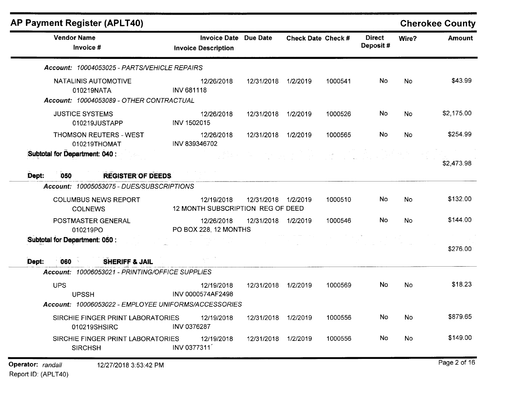| <b>AP Payment Register (APLT40)</b>                                            |                                                            |                     |                    |         |                           |           | <b>Cherokee County</b> |
|--------------------------------------------------------------------------------|------------------------------------------------------------|---------------------|--------------------|---------|---------------------------|-----------|------------------------|
| <b>Vendor Name</b><br>Invoice #                                                | <b>Invoice Date Due Date</b><br><b>Invoice Description</b> |                     | Check Date Check # |         | <b>Direct</b><br>Deposit# | Wire?     | <b>Amount</b>          |
| Account: 10004053025 - PARTS/VEHICLE REPAIRS                                   |                                                            |                     |                    |         |                           |           |                        |
| NATALINIS AUTOMOTIVE<br>010219NATA<br>Account: 10004053089 - OTHER CONTRACTUAL | 12/26/2018<br><b>INV 681118</b>                            | 12/31/2018          | 1/2/2019           | 1000541 | No                        | <b>No</b> | \$43.99                |
| <b>JUSTICE SYSTEMS</b><br>010219JUSTAPP                                        | 12/26/2018<br>INV 1502015                                  | 12/31/2018          | 1/2/2019           | 1000526 | No                        | No        | \$2,175.00             |
| <b>THOMSON REUTERS - WEST</b><br>010219THOMAT                                  | 12/26/2018<br>INV 839346702                                | 12/31/2018          | 1/2/2019           | 1000565 | No                        | <b>No</b> | \$254.99               |
| Subtotal for Department: 040 :                                                 |                                                            |                     |                    |         |                           |           | \$2,473.98             |
| Dept:<br>050<br><b>REGISTER OF DEEDS.</b>                                      |                                                            |                     |                    |         |                           |           |                        |
| Account: 10005053075 - DUES/SUBSCRIPTIONS                                      |                                                            |                     |                    |         |                           |           |                        |
| <b>COLUMBUS NEWS REPORT</b><br><b>COLNEWS</b>                                  | 12/19/2018<br>12 MONTH SUBSCRIPTION REG OF DEED            | 12/31/2018 1/2/2019 |                    | 1000510 | No                        | <b>No</b> | \$132.00               |
| POSTMASTER GENERAL<br>010219PO                                                 | 12/26/2018<br>PO BOX 228, 12 MONTHS                        | 12/31/2018          | 1/2/2019           | 1000546 | No                        | No        | \$144.00               |
| Subtotal for Department: 050 :                                                 |                                                            |                     |                    |         |                           |           | \$276.00               |
| 060<br>Dept:<br><b>SHERIFF &amp; JAIL</b>                                      |                                                            |                     |                    |         |                           |           |                        |
| Account: 10006053021 - PRINTING/OFFICE SUPPLIES                                |                                                            |                     |                    |         |                           |           |                        |
| <b>UPS</b><br><b>UPSSH</b>                                                     | 12/19/2018<br>INV 0000574AF2498                            | 12/31/2018          | 1/2/2019           | 1000569 | No                        | No        | \$18.23                |
| Account: 10006053022 - EMPLOYEE UNIFORMS/ACCESSORIES                           |                                                            |                     |                    |         |                           |           |                        |
| SIRCHIE FINGER PRINT LABORATORIES<br>010219SHSIRC                              | 12/19/2018<br>INV 0376287                                  | 12/31/2018 1/2/2019 |                    | 1000556 | No                        | No        | \$879.65               |
| SIRCHIE FINGER PRINT LABORATORIES<br><b>SIRCHSH</b>                            | 12/19/2018<br>INV 0377311                                  | 12/31/2018 1/2/2019 |                    | 1000556 | No                        | No        | \$149.00               |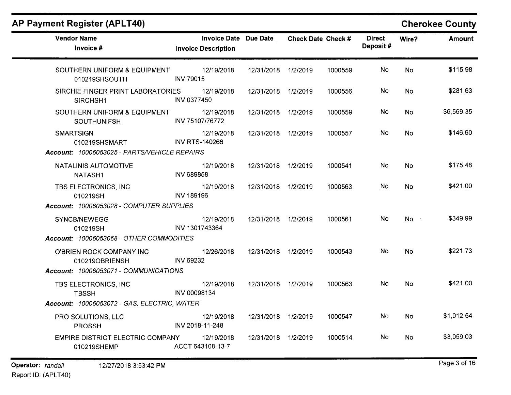| <b>AP Payment Register (APLT40)</b>                |                                                     |                     |                    |         |                           |           | <b>Cherokee County</b> |
|----------------------------------------------------|-----------------------------------------------------|---------------------|--------------------|---------|---------------------------|-----------|------------------------|
| <b>Vendor Name</b><br>Invoice #                    | Invoice Date Due Date<br><b>Invoice Description</b> |                     | Check Date Check # |         | <b>Direct</b><br>Deposit# | Wire?     | <b>Amount</b>          |
| SOUTHERN UNIFORM & EQUIPMENT<br>010219SHSOUTH      | 12/19/2018<br><b>INV 79015</b>                      | 12/31/2018 1/2/2019 |                    | 1000559 | No                        | No        | \$115.98               |
| SIRCHIE FINGER PRINT LABORATORIES<br>SIRCHSH1      | 12/19/2018<br>INV 0377450                           | 12/31/2018 1/2/2019 |                    | 1000556 | No                        | <b>No</b> | \$281.63               |
| SOUTHERN UNIFORM & EQUIPMENT<br><b>SOUTHUNIFSH</b> | 12/19/2018<br>INV 75107/76772                       | 12/31/2018 1/2/2019 |                    | 1000559 | No                        | <b>No</b> | \$6,569.35             |
| <b>SMARTSIGN</b><br>010219SHSMART                  | 12/19/2018<br><b>INV RTS-140266</b>                 | 12/31/2018 1/2/2019 |                    | 1000557 | No                        | <b>No</b> | \$146.60               |
| Account: 10006053025 - PARTS/VEHICLE REPAIRS       |                                                     |                     |                    |         |                           |           |                        |
| NATALINIS AUTOMOTIVE<br>NATASH1                    | 12/19/2018<br><b>INV 689858</b>                     | 12/31/2018 1/2/2019 |                    | 1000541 | No                        | <b>No</b> | \$175.48               |
| TBS ELECTRONICS, INC<br>010219SH                   | 12/19/2018<br><b>INV 189196</b>                     | 12/31/2018 1/2/2019 |                    | 1000563 | No                        | No        | \$421.00               |
| Account: 10006053028 - COMPUTER SUPPLIES           |                                                     |                     |                    |         |                           |           |                        |
| SYNCB/NEWEGG<br>010219SH                           | 12/19/2018<br>INV 1301743364                        | 12/31/2018 1/2/2019 |                    | 1000561 | No                        | <b>No</b> | \$349.99               |
| Account: 10006053068 - OTHER COMMODITIES           |                                                     |                     |                    |         |                           |           |                        |
| O'BRIEN ROCK COMPANY INC<br>010219OBRIENSH         | 12/26/2018<br><b>INV 69232</b>                      | 12/31/2018 1/2/2019 |                    | 1000543 | No                        | <b>No</b> | \$221.73               |
| Account: 10006053071 - COMMUNICATIONS              |                                                     |                     |                    |         |                           |           |                        |
| TBS ELECTRONICS, INC<br><b>TBSSH</b>               | 12/19/2018<br>INV 00098134                          | 12/31/2018 1/2/2019 |                    | 1000563 | No                        | <b>No</b> | \$421.00               |
| <b>Account: 10006053072 - GAS, ELECTRIC, WATER</b> |                                                     |                     |                    |         |                           |           |                        |
| PRO SOLUTIONS, LLC<br><b>PROSSH</b>                | 12/19/2018<br>INV 2018-11-248                       | 12/31/2018 1/2/2019 |                    | 1000547 | No                        | No        | \$1,012.54             |
| EMPIRE DISTRICT ELECTRIC COMPANY<br>010219SHEMP    | 12/19/2018<br>ACCT 643108-13-7                      | 12/31/2018 1/2/2019 |                    | 1000514 | No                        | No        | \$3,059.03             |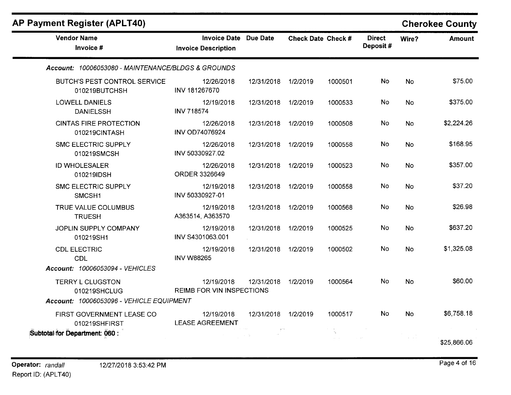| <b>AP Payment Register (APLT40)</b>                |                                                            |                     |                    |         |                           |           | <b>Cherokee County</b> |
|----------------------------------------------------|------------------------------------------------------------|---------------------|--------------------|---------|---------------------------|-----------|------------------------|
| <b>Vendor Name</b><br>Invoice #                    | <b>Invoice Date Due Date</b><br><b>Invoice Description</b> |                     | Check Date Check # |         | <b>Direct</b><br>Deposit# | Wire?     | <b>Amount</b>          |
| Account: 10006053080 - MAINTENANCE/BLDGS & GROUNDS |                                                            |                     |                    |         |                           |           |                        |
| BUTCH'S PEST CONTROL SERVICE<br>010219BUTCHSH      | 12/26/2018<br>INV 181267670                                | 12/31/2018 1/2/2019 |                    | 1000501 | No.                       | <b>No</b> | \$75.00                |
| <b>LOWELL DANIELS</b><br><b>DANIELSSH</b>          | 12/19/2018<br><b>INV 718574</b>                            | 12/31/2018          | 1/2/2019           | 1000533 | <b>No</b>                 | <b>No</b> | \$375.00               |
| <b>CINTAS FIRE PROTECTION</b><br>010219CINTASH     | 12/26/2018<br><b>INV OD74076924</b>                        | 12/31/2018 1/2/2019 |                    | 1000508 | No                        | No        | \$2,224.26             |
| <b>SMC ELECTRIC SUPPLY</b><br>010219SMCSH          | 12/26/2018<br>INV 50330927.02                              | 12/31/2018 1/2/2019 |                    | 1000558 | No                        | <b>No</b> | \$168.95               |
| <b>ID WHOLESALER</b><br>010219IDSH                 | 12/26/2018<br><b>ORDER 3326649</b>                         | 12/31/2018 1/2/2019 |                    | 1000523 | No                        | <b>No</b> | \$357.00               |
| <b>SMC ELECTRIC SUPPLY</b><br>SMCSH1               | 12/19/2018<br>INV 50330927-01                              | 12/31/2018 1/2/2019 |                    | 1000558 | No                        | No.       | \$37.20                |
| TRUE VALUE COLUMBUS<br><b>TRUESH</b>               | 12/19/2018<br>A363514, A363570                             | 12/31/2018          | 1/2/2019           | 1000568 | No.                       | <b>No</b> | \$26.98                |
| JOPLIN SUPPLY COMPANY<br>010219SH1                 | 12/19/2018<br>INV S4301063.001                             | 12/31/2018 1/2/2019 |                    | 1000525 | No                        | <b>No</b> | \$637.20               |
| <b>CDL ELECTRIC</b><br><b>CDL</b>                  | 12/19/2018<br><b>INV W88265</b>                            | 12/31/2018 1/2/2019 |                    | 1000502 | No                        | <b>No</b> | \$1,325.08             |
| Account: 10006053094 - VEHICLES                    |                                                            |                     |                    |         |                           |           |                        |
| <b>TERRY L CLUGSTON</b><br>010219SHCLUG            | 12/19/2018<br><b>REIMB FOR VIN INSPECTIONS</b>             | 12/31/2018 1/2/2019 |                    | 1000564 | No                        | No.       | \$60.00                |
| Account: 10006053096 - VEHICLE EQUIPMENT           |                                                            |                     |                    |         |                           |           |                        |
| FIRST GOVERNMENT LEASE CO<br>010219SHFIRST         | 12/19/2018<br><b>LEASE AGREEMENT</b>                       | 12/31/2018 1/2/2019 |                    | 1000517 | <b>No</b>                 | No.       | \$6,758.18             |
| Subtotal for Department: 060 :                     |                                                            |                     |                    |         |                           |           |                        |
|                                                    |                                                            |                     |                    |         |                           |           | \$25,866.06            |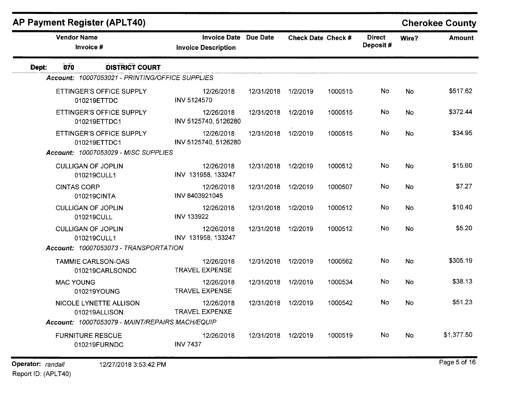|       |                    |                                                 |                                                            |                     |                           |         |                           |           | YN YN YN YVWNY |
|-------|--------------------|-------------------------------------------------|------------------------------------------------------------|---------------------|---------------------------|---------|---------------------------|-----------|----------------|
|       | <b>Vendor Name</b> | Invoice #                                       | <b>Invoice Date Due Date</b><br><b>Invoice Description</b> |                     | <b>Check Date Check #</b> |         | <b>Direct</b><br>Deposit# | Wire?     | <b>Amount</b>  |
| Dept: | 070                | <b>DISTRICT COURT</b>                           |                                                            |                     |                           |         |                           |           |                |
|       |                    | Account: 10007053021 - PRINTING/OFFICE SUPPLIES |                                                            |                     |                           |         |                           |           |                |
|       |                    | ETTINGER'S OFFICE SUPPLY<br>010219ETTDC         | 12/26/2018<br>INV 5124570                                  | 12/31/2018          | 1/2/2019                  | 1000515 | <b>No</b>                 | <b>No</b> | \$517.62       |
|       |                    | ETTINGER'S OFFICE SUPPLY<br>010219ETTDC1        | 12/26/2018<br>INV 5125740, 5126280                         | 12/31/2018 1/2/2019 |                           | 1000515 | No.                       | <b>No</b> | \$372.44       |
|       |                    | ETTINGER'S OFFICE SUPPLY<br>010219ETTDC1        | 12/26/2018<br>INV 5125740, 5126280                         | 12/31/2018 1/2/2019 |                           | 1000515 | No                        | <b>No</b> | \$34.95        |
|       |                    | Account: 10007053029 - MISC SUPPLIES            |                                                            |                     |                           |         |                           |           |                |
|       |                    | <b>CULLIGAN OF JOPLIN</b><br>010219CULL1        | 12/26/2018<br>INV 131958, 133247                           | 12/31/2018          | 1/2/2019                  | 1000512 | No                        | <b>No</b> | \$15.60        |
|       | <b>CINTAS CORP</b> | 010219CINTA                                     | 12/26/2018<br>INV 8403921045                               | 12/31/2018          | 1/2/2019                  | 1000507 | No                        | <b>No</b> | \$7.27         |
|       |                    | <b>CULLIGAN OF JOPLIN</b><br>010219CULL         | 12/26/2018<br><b>INV 133922</b>                            | 12/31/2018 1/2/2019 |                           | 1000512 | No                        | <b>No</b> | \$10.40        |
|       |                    | <b>CULLIGAN OF JOPLIN</b><br>010219CULL1        | 12/26/2018<br>INV 131958, 133247                           | 12/31/2018          | 1/2/2019                  | 1000512 | No                        | <b>No</b> | \$5.20         |
|       |                    | Account: 10007053073 - TRANSPORTATION           |                                                            |                     |                           |         |                           |           |                |
|       |                    | <b>TAMMIE CARLSON-OAS</b><br>010219CARLSONDC    | 12/26/2018<br><b>TRAVEL EXPENSE</b>                        | 12/31/2018 1/2/2019 |                           | 1000562 | No                        | <b>No</b> | \$305.19       |
|       | <b>MAC YOUNG</b>   | 010219YOUNG                                     | 12/26/2018<br><b>TRAVEL EXPENSE</b>                        | 12/31/2018 1/2/2019 |                           | 1000534 | No                        | <b>No</b> | \$38.13        |
|       |                    | NICOLE LYNETTE ALLISON<br>010219ALLISON         | 12/26/2018<br><b>TRAVEL EXPENXE</b>                        | 12/31/2018 1/2/2019 |                           | 1000542 | No.                       | <b>No</b> | \$51.23        |
|       |                    | Account: 10007053079 - MAINT/REPAIRS MACH/EQUIP |                                                            |                     |                           |         |                           |           |                |
|       |                    | <b>FURNITURE RESCUE</b><br>010219FURNDC         | 12/26/2018<br><b>INV 7437</b>                              | 12/31/2018 1/2/2019 |                           | 1000519 | <b>No</b>                 | <b>No</b> | \$1,377.50     |
|       |                    |                                                 |                                                            |                     |                           |         |                           |           |                |

### **AP Payment Register (APLT40)** Cherokee County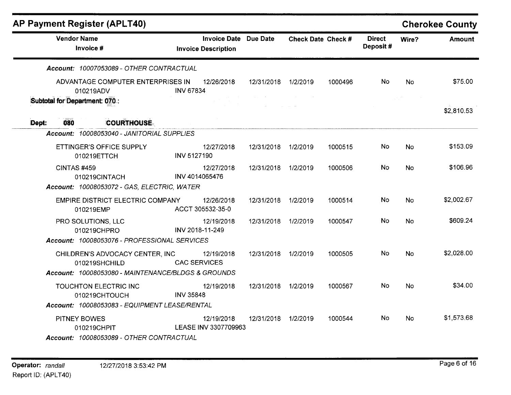|       |                                 | AP Payment Register (APLT40)                            |                  |                                                            |                     |                    |         |                           |           | <b>Cherokee County</b> |
|-------|---------------------------------|---------------------------------------------------------|------------------|------------------------------------------------------------|---------------------|--------------------|---------|---------------------------|-----------|------------------------|
|       | <b>Vendor Name</b><br>Invoice # |                                                         |                  | <b>Invoice Date Due Date</b><br><b>Invoice Description</b> |                     | Check Date Check # |         | <b>Direct</b><br>Deposit# | Wire?     | <b>Amount</b>          |
|       |                                 | Account: 10007053089 - OTHER CONTRACTUAL                |                  |                                                            |                     |                    |         |                           |           |                        |
|       |                                 | ADVANTAGE COMPUTER ENTERPRISES IN<br>010219ADV          | <b>INV 67834</b> | 12/26/2018                                                 | 12/31/2018          | 1/2/2019           | 1000496 | No.                       | <b>No</b> | \$75.00                |
|       | Subtotal for Department: 070.:  |                                                         |                  |                                                            |                     |                    |         |                           |           | \$2,810.53             |
| Dept: | 080                             | <b>COURTHOUSE</b>                                       |                  |                                                            |                     |                    |         |                           |           |                        |
|       |                                 | Account: 10008053040 - JANITORIAL SUPPLIES              |                  |                                                            |                     |                    |         |                           |           |                        |
|       |                                 | ETTINGER'S OFFICE SUPPLY<br>010219ETTCH                 | INV 5127190      | 12/27/2018                                                 | 12/31/2018          | 1/2/2019           | 1000515 | No.                       | <b>No</b> | \$153.09               |
|       | CINTAS#459                      | 010219CINTACH                                           |                  | 12/27/2018<br>INV 4014065476                               | 12/31/2018 1/2/2019 |                    | 1000506 | No.                       | <b>No</b> | \$106.96               |
|       |                                 | Account: 10008053072 - GAS, ELECTRIC, WATER             |                  |                                                            |                     |                    |         |                           |           |                        |
|       |                                 | EMPIRE DISTRICT ELECTRIC COMPANY<br>010219EMP           |                  | 12/26/2018<br>ACCT 305532-35-0                             | 12/31/2018          | 1/2/2019           | 1000514 | No.                       | No        | \$2,002.67             |
|       | PRO SOLUTIONS, LLC              | 010219CHPRO                                             |                  | 12/19/2018<br>INV 2018-11-249                              | 12/31/2018 1/2/2019 |                    | 1000547 | No.                       | No        | \$609.24               |
|       |                                 | Account: 10008053076 - PROFESSIONAL SERVICES            |                  |                                                            |                     |                    |         |                           |           |                        |
|       |                                 | CHILDREN'S ADVOCACY CENTER, INC<br>010219SHCHILD        |                  | 12/19/2018<br><b>CAC SERVICES</b>                          | 12/31/2018 1/2/2019 |                    | 1000505 | No.                       | <b>No</b> | \$2,028.00             |
|       |                                 | Account: 10008053080 - MAINTENANCE/BLDGS & GROUNDS      |                  |                                                            |                     |                    |         |                           |           |                        |
|       |                                 | TOUCHTON ELECTRIC INC<br>010219CHTOUCH                  | <b>INV 35848</b> | 12/19/2018                                                 | 12/31/2018          | 1/2/2019           | 1000567 | No.                       | No.       | \$34.00                |
|       |                                 | Account: 10008053083 - EQUIPMENT LEASE/RENTAL           |                  |                                                            |                     |                    |         |                           |           |                        |
|       | PITNEY BOWES                    | 010219CHPIT<br>Account: 10008053089 - OTHER CONTRACTUAL |                  | 12/19/2018<br>LEASE INV 3307709963                         | 12/31/2018 1/2/2019 |                    | 1000544 | No.                       | No        | \$1,573.68             |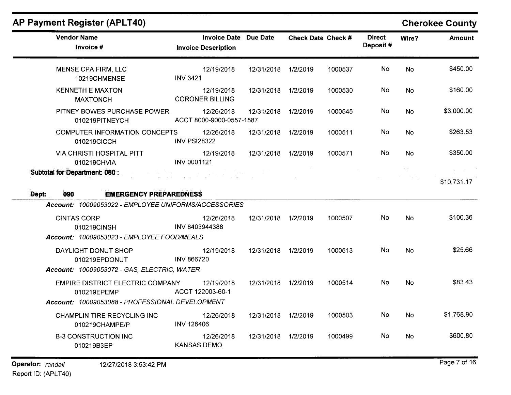# AP Payment Register (APLT40) AP Payment Register (APLT40)

| <b>Vendor Name</b><br>Invoice #                                                                                                   | <b>Invoice Date</b> Due Date<br><b>Invoice Description</b> |                     | <b>Check Date Check #</b> |         | <b>Direct</b><br>Deposit# | Wire?     | Amount      |
|-----------------------------------------------------------------------------------------------------------------------------------|------------------------------------------------------------|---------------------|---------------------------|---------|---------------------------|-----------|-------------|
| MENSE CPA FIRM, LLC<br>10219CHMENSE                                                                                               | 12/19/2018<br><b>INV 3421</b>                              | 12/31/2018          | 1/2/2019                  | 1000537 | No.                       | <b>No</b> | \$450.00    |
| <b>KENNETH E MAXTON</b><br><b>MAXTONCH</b>                                                                                        | 12/19/2018<br><b>CORONER BILLING</b>                       | 12/31/2018 1/2/2019 |                           | 1000530 | No                        | <b>No</b> | \$160.00    |
| PITNEY BOWES PURCHASE POWER<br>010219PITNEYCH                                                                                     | 12/26/2018<br>ACCT 8000-9000-0557-1587                     | 12/31/2018          | 1/2/2019                  | 1000545 | No.                       | <b>No</b> | \$3,000.00  |
| <b>COMPUTER INFORMATION CONCEPTS</b><br>010219CICCH                                                                               | 12/26/2018<br><b>INV PSI28322</b>                          | 12/31/2018          | 1/2/2019                  | 1000511 | No.                       | <b>No</b> | \$263.53    |
| <b>VIA CHRISTI HOSPITAL PITT</b><br>010219CHVIA                                                                                   | 12/19/2018<br>INV 0001121                                  | 12/31/2018          | 1/2/2019                  | 1000571 | No.                       | <b>No</b> | \$350.00    |
| Subtotal for Department: 080:<br><b>EMERGENCY PREPAREDNESS</b><br>Dept:<br>090                                                    |                                                            |                     |                           |         |                           |           | \$10,731.17 |
| Account: 10009053022 - EMPLOYEE UNIFORMS/ACCESSORIES<br><b>CINTAS CORP</b><br>010219CINSH                                         | 12/26/2018<br>INV 8403944388                               | 12/31/2018          | 1/2/2019                  | 1000507 | No.                       | No.       | \$100.36    |
| Account: 10009053023 - EMPLOYEE FOOD/MEALS<br>DAYLIGHT DONUT SHOP<br>010219EPDONUT<br>Account: 10009053072 - GAS, ELECTRIC, WATER | 12/19/2018<br><b>INV 866720</b>                            | 12/31/2018 1/2/2019 |                           | 1000513 | <b>No</b>                 | <b>No</b> | \$25.66     |
| EMPIRE DISTRICT ELECTRIC COMPANY<br>010219EPEMP<br>Account: 10009053088 - PROFESSIONAL DEVELOPMENT                                | 12/19/2018<br>ACCT 122003-60-1                             | 12/31/2018 1/2/2019 |                           | 1000514 | No.                       | <b>No</b> | \$83.43     |
| CHAMPLIN TIRE RECYCLING INC<br>010219CHAMPE/P                                                                                     | 12/26/2018<br><b>INV 126406</b>                            | 12/31/2018 1/2/2019 |                           | 1000503 | No.                       | <b>No</b> | \$1,768.90  |
| <b>B-3 CONSTRUCTION INC</b><br>010219B3EP                                                                                         | 12/26/2018<br><b>KANSAS DEMO</b>                           | 12/31/2018          | 1/2/2019                  | 1000499 | <b>No</b>                 | <b>No</b> | \$600.80    |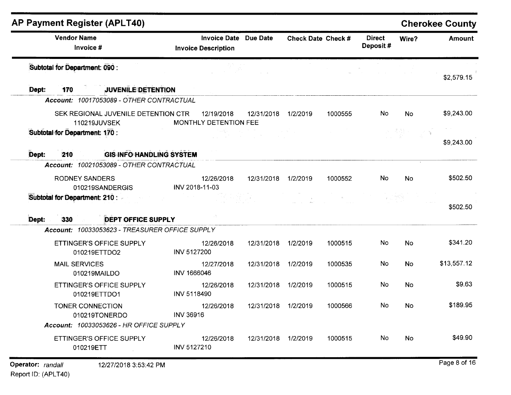| <b>Vendor Name</b><br>Invoice #                                                                                           | <b>Invoice Description</b>      | <b>Invoice Date Due Date</b> |                     | Check Date Check # |         | <b>Direct</b><br>Deposit# | Wire?     | <b>Amount</b>                       |
|---------------------------------------------------------------------------------------------------------------------------|---------------------------------|------------------------------|---------------------|--------------------|---------|---------------------------|-----------|-------------------------------------|
| Subtotal for Department: 090 :                                                                                            |                                 |                              |                     |                    |         |                           |           | \$2,579.15                          |
| <b>JUVENILE DETENTION</b><br>Dept:<br>170                                                                                 |                                 |                              |                     |                    |         |                           |           |                                     |
| Account: 10017053089 - OTHER CONTRACTUAL                                                                                  |                                 |                              |                     |                    |         |                           |           |                                     |
| SEK REGIONAL JUVENILE DETENTION CTR<br>110219JUVSEK                                                                       | MONTHLY DETENTION FEE           | 12/19/2018                   | 12/31/2018          | 1/2/2019           | 1000555 | No                        | <b>No</b> | \$9,243.00                          |
| Subtotal for Department: 170 :                                                                                            |                                 |                              |                     |                    |         |                           |           | \$9,243.00                          |
| Dept:<br>210                                                                                                              | <b>GIS INFO HANDLING SYSTEM</b> |                              |                     |                    |         |                           |           |                                     |
| Account: 10021053089 - OTHER CONTRACTUAL                                                                                  |                                 |                              |                     |                    |         |                           |           |                                     |
| <b>RODNEY SANDERS</b><br>010219SANDERGIS                                                                                  | INV 2018-11-03                  | 12/26/2018                   | 12/31/2018 1/2/2019 |                    | 1000552 | No.                       | No        | \$502.50                            |
|                                                                                                                           |                                 |                              |                     |                    |         |                           |           |                                     |
|                                                                                                                           |                                 |                              |                     |                    |         |                           |           |                                     |
| <b>DEPT OFFICE SUPPLY</b><br>330<br>Account: 10033053623 - TREASURER OFFICE SUPPLY                                        |                                 |                              |                     |                    |         |                           |           |                                     |
| ETTINGER'S OFFICE SUPPLY<br>010219ETTDO2                                                                                  | <b>INV 5127200</b>              | 12/26/2018                   | 12/31/2018          | 1/2/2019           | 1000515 | No                        | No        |                                     |
| <b>MAIL SERVICES</b><br>010219MAILDO                                                                                      | INV 1666046                     | 12/27/2018                   | 12/31/2018          | 1/2/2019           | 1000535 | No                        | No        | \$502.50<br>\$341.20<br>\$13,557.12 |
| ETTINGER'S OFFICE SUPPLY<br>010219ETTDO1                                                                                  | INV 5118490                     | 12/26/2018                   | 12/31/2018          | 1/2/2019           | 1000515 | No                        | <b>No</b> | \$9.63                              |
| Subtotal for Department: 210 : -<br>Dept:<br>TONER CONNECTION<br>010219TONERDO<br>Account: 10033053626 - HR OFFICE SUPPLY | <b>INV 36916</b>                | 12/26/2018                   | 12/31/2018 1/2/2019 |                    | 1000566 | No                        | No.       | \$189.95                            |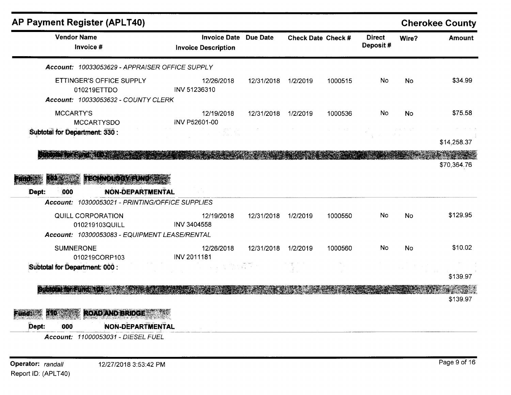|                                                                                                                                         |                                                            |                     |                    |         |                           |           | <b>Cherokee County</b> |
|-----------------------------------------------------------------------------------------------------------------------------------------|------------------------------------------------------------|---------------------|--------------------|---------|---------------------------|-----------|------------------------|
| <b>Vendor Name</b><br>Invoice #                                                                                                         | <b>Invoice Date</b> Due Date<br><b>Invoice Description</b> |                     | Check Date Check # |         | <b>Direct</b><br>Deposit# | Wire?     | <b>Amount</b>          |
| Account: 10033053629 - APPRAISER OFFICE SUPPLY                                                                                          |                                                            |                     |                    |         |                           |           |                        |
| ETTINGER'S OFFICE SUPPLY<br>010219ETTDO<br>Account: 10033053632 - COUNTY CLERK                                                          | 12/26/2018<br>INV 51236310                                 | 12/31/2018          | 1/2/2019           | 1000515 | No.                       | <b>No</b> | \$34.99                |
| <b>MCCARTY'S</b><br><b>MCCARTYSDO</b>                                                                                                   | 12/19/2018<br><b>INV P52601-00</b>                         | 12/31/2018 1/2/2019 |                    | 1000536 | No.                       | <b>No</b> | \$75.58                |
| Subtotal for Department: 330 :                                                                                                          |                                                            |                     |                    |         |                           |           | \$14,258.37            |
| LECHWOFOCAL FINDER<br><b>NON-DEPARTMENTAL</b><br>000<br>Dept:                                                                           |                                                            |                     |                    |         |                           |           | \$70,364.76            |
|                                                                                                                                         |                                                            |                     |                    |         |                           |           |                        |
| Account: 10300053021 - PRINTING/OFFICE SUPPLIES<br>QUILL CORPORATION<br>010219103QUILL<br>Account: 10300053083 - EQUIPMENT LEASE/RENTAL | 12/19/2018<br>INV 3404558                                  | 12/31/2018          | 1/2/2019           | 1000550 | No.                       | <b>No</b> | \$129.95               |
| <b>SUMNERONE</b><br>010219CORP103                                                                                                       | 12/26/2018<br>INV 2011181                                  | 12/31/2018          | 1/2/2019           | 1000560 | No.                       | <b>No</b> | \$10.02                |
| Subtotal for Department: 000 :                                                                                                          |                                                            |                     |                    |         |                           |           | \$139.97               |
|                                                                                                                                         |                                                            |                     |                    |         |                           |           | \$139.97               |
| <b>ROAD AND BRIDGE</b><br>Dept:<br><b>NON-DEPARTMENTAL</b><br>000                                                                       |                                                            |                     |                    |         |                           |           |                        |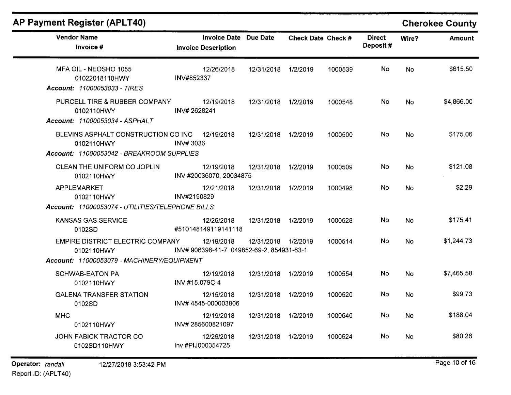# **AP Payment Register (APLT40) Cherokee County**

| <b>Vendor Name</b><br>Invoice #                                                                | <b>Invoice Date Due Date</b><br><b>Invoice Description</b> |                     | <b>Check Date Check #</b> |         | <b>Direct</b><br>Deposit# | Wire?     | <b>Amount</b> |
|------------------------------------------------------------------------------------------------|------------------------------------------------------------|---------------------|---------------------------|---------|---------------------------|-----------|---------------|
| MFA OIL - NEOSHO 1055<br>01022018110HWY<br>Account: 11000053033 - TIRES                        | 12/26/2018<br>INV#852337                                   | 12/31/2018          | 1/2/2019                  | 1000539 | <b>No</b>                 | <b>No</b> | \$615.50      |
| PURCELL TIRE & RUBBER COMPANY<br>0102110HWY<br>Account: 11000053034 - ASPHALT                  | 12/19/2018<br>INV#2628241                                  | 12/31/2018          | 1/2/2019                  | 1000548 | No.                       | <b>No</b> | \$4,866.00    |
| BLEVINS ASPHALT CONSTRUCTION CO INC<br>0102110HWY<br>Account: 11000053042 - BREAKROOM SUPPLIES | 12/19/2018<br><b>INV#3036</b>                              | 12/31/2018          | 1/2/2019                  | 1000500 | No                        | <b>No</b> | \$175.06      |
| CLEAN THE UNIFORM CO JOPLIN<br>0102110HWY                                                      | 12/19/2018<br>INV #20036070, 20034875                      | 12/31/2018          | 1/2/2019                  | 1000509 | No.                       | <b>No</b> | \$121.08      |
| APPLEMARKET<br>0102110HWY                                                                      | 12/21/2018<br>INV#2190829                                  | 12/31/2018          | 1/2/2019                  | 1000498 | No.                       | <b>No</b> | \$2.29        |
| Account: 11000053074 - UTILITIES/TELEPHONE BILLS<br><b>KANSAS GAS SERVICE</b><br>0102SD        | 12/26/2018<br>#510148149119141118                          | 12/31/2018          | 1/2/2019                  | 1000528 | No.                       | <b>No</b> | \$175.41      |
| EMPIRE DISTRICT ELECTRIC COMPANY<br>0102110HWY                                                 | 12/19/2018<br>INV# 906398-41-7, 049852-69-2, 854931-63-1   | 12/31/2018 1/2/2019 |                           | 1000514 | No.                       | No        | \$1,244.73    |
| Account: 11000053079 - MACHINERY/EQUIPMENT<br><b>SCHWAB-EATON PA</b><br>0102110HWY             | 12/19/2018<br>INV #15.079C-4                               | 12/31/2018          | 1/2/2019                  | 1000554 | No.                       | <b>No</b> | \$7,465.58    |
| <b>GALENA TRANSFER STATION</b><br>0102SD                                                       | 12/15/2018<br>INV#4545-000003806                           | 12/31/2018          | 1/2/2019                  | 1000520 | No.                       | <b>No</b> | \$99.73       |
| <b>MHC</b><br>0102110HWY                                                                       | 12/19/2018<br>INV#285600821097                             | 12/31/2018          | 1/2/2019                  | 1000540 | No.                       | <b>No</b> | \$188.04      |
| <b>JOHN FABICK TRACTOR CO</b><br>0102SD110HWY                                                  | 12/26/2018<br>Inv #PIJ000354725                            | 12/31/2018          | 1/2/2019                  | 1000524 | No.                       | No        | \$80.26       |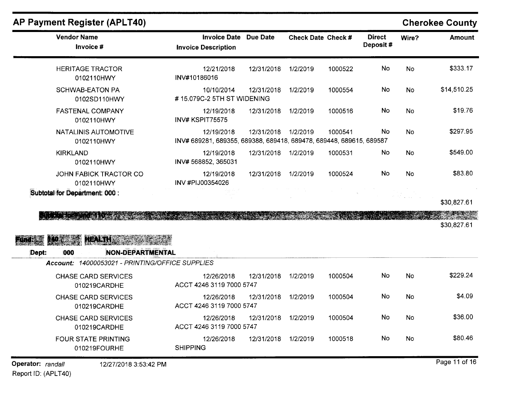## **AP Payment Register (APLT40)**

### **Cherokee County**

| <b>Vendor Name</b><br>Invoice #             | Invoice Date Due Date<br><b>Invoice Description</b>                               |            | <b>Check Date Check #</b> |         | <b>Direct</b><br>Deposit# | Wire?     | Amount      |
|---------------------------------------------|-----------------------------------------------------------------------------------|------------|---------------------------|---------|---------------------------|-----------|-------------|
| <b>HERITAGE TRACTOR</b><br>0102110HWY       | 12/21/2018<br>INV#10186016                                                        | 12/31/2018 | 1/2/2019                  | 1000522 | No.                       | <b>No</b> | \$333.17    |
| SCHWAB-EATON PA<br>0102SD110HWY             | 10/10/2014<br>#15.079C-2 5TH ST WIDENING                                          | 12/31/2018 | 1/2/2019                  | 1000554 | <b>No</b>                 | No        | \$14,510.25 |
| <b>FASTENAL COMPANY</b><br>0102110HWY       | 12/19/2018<br>INV# KSPIT75575                                                     | 12/31/2018 | 1/2/2019                  | 1000516 | No                        | No        | \$19.76     |
| <b>NATALINIS AUTOMOTIVE</b><br>0102110HWY   | 12/19/2018<br>INV# 689281, 689355, 689388, 689418, 689478, 689448, 689615, 689587 | 12/31/2018 | 1/2/2019                  | 1000541 | No                        | <b>No</b> | \$297.95    |
| <b>KIRKLAND</b><br>0102110HWY               | 12/19/2018<br>INV# 568852, 365031                                                 | 12/31/2018 | 1/2/2019                  | 1000531 | No                        | <b>No</b> | \$549.00    |
| <b>JOHN FABICK TRACTOR CO</b><br>0102110HWY | 12/19/2018<br>INV #PIJ00354026                                                    | 12/31/2018 | 1/2/2019                  | 1000524 | No                        | <b>No</b> | \$83.80     |
| Subtotal for Department: 000 :              |                                                                                   |            |                           |         |                           |           | 620.927.64  |

\$30,827.61

**SELLER ARTICLES** 

o prov \$30,827.61

### HEALTH STATES 140 Fund:

:Dept. **000 NON-DEPARTMENTAL** 

| <b>Account: 14000053021 - PRINTING/OFFICE SUPPLIES</b> |
|--------------------------------------------------------|
|                                                        |

| CHASE CARD SERVICES<br>010219CARDHE        | 12/26/2018<br>ACCT 4246 3119 7000 5747 | 12/31/2018 | 1/2/2019 | 1000504 | No | No | \$229.24 |
|--------------------------------------------|----------------------------------------|------------|----------|---------|----|----|----------|
| <b>CHASE CARD SERVICES</b><br>010219CARDHE | 12/26/2018<br>ACCT 4246 3119 7000 5747 | 12/31/2018 | 1/2/2019 | 1000504 | No | No | \$4.09   |
| <b>CHASE CARD SERVICES</b><br>010219CARDHE | 12/26/2018<br>ACCT 4246 3119 7000 5747 | 12/31/2018 | 1/2/2019 | 1000504 | No | No | \$36.00  |
| FOUR STATE PRINTING<br>010219FOURHE        | 12/26/2018<br><b>SHIPPING</b>          | 12/31/2018 | 1/2/2019 | 1000518 | No | No | \$80.46  |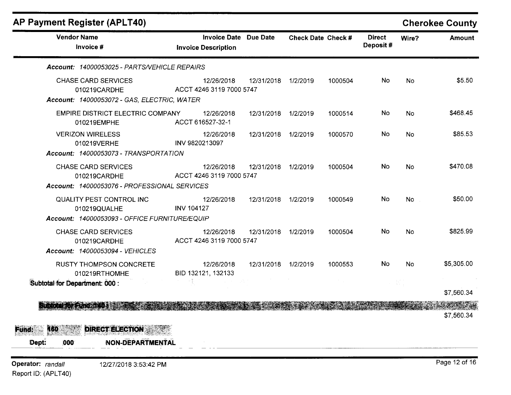| <b>Vendor Name</b>                                                                                                                                    |                                                            |                     |          |                           |                           |                         |               |
|-------------------------------------------------------------------------------------------------------------------------------------------------------|------------------------------------------------------------|---------------------|----------|---------------------------|---------------------------|-------------------------|---------------|
| Invoice #                                                                                                                                             | <b>Invoice Date Due Date</b><br><b>Invoice Description</b> |                     |          | <b>Check Date Check #</b> | <b>Direct</b><br>Deposit# | Wire?                   | <b>Amount</b> |
| Account: 14000053025 - PARTS/VEHICLE REPAIRS                                                                                                          |                                                            |                     |          |                           |                           |                         |               |
| <b>CHASE CARD SERVICES</b><br>010219CARDHE<br>Account: 14000053072 - GAS, ELECTRIC, WATER                                                             | 12/26/2018<br>ACCT 4246 3119 7000 5747                     | 12/31/2018 1/2/2019 |          | 1000504                   | No.                       | No                      | \$5.50        |
| EMPIRE DISTRICT ELECTRIC COMPANY<br>010219EMPHE                                                                                                       | 12/26/2018<br>ACCT 616527-32-1                             | 12/31/2018          | 1/2/2019 | 1000514                   | No                        | No                      | \$468.45      |
| <b>VERIZON WIRELESS</b><br>010219VERHE<br>Account: 14000053073 - TRANSPORTATION                                                                       | 12/26/2018<br>INV 9820213097                               | 12/31/2018 1/2/2019 |          | 1000570                   | No.                       | No                      | \$85.53       |
| <b>CHASE CARD SERVICES</b><br>010219CARDHE<br>Account: 14000053076 - PROFESSIONAL SERVICES                                                            | 12/26/2018<br>ACCT 4246 3119 7000 5747                     | 12/31/2018          | 1/2/2019 | 1000504                   | No                        | <b>No</b>               | \$470.08      |
| QUALITY PEST CONTROL INC<br>010219QUALHE<br>Account: 14000053093 - OFFICE FURNITURE/EQUIP                                                             | 12/26/2018<br><b>INV 104127</b>                            | 12/31/2018          | 1/2/2019 | 1000549                   | No                        | No                      | \$50.00       |
| <b>CHASE CARD SERVICES</b><br>010219CARDHE<br>Account: 14000053094 - VEHICLES                                                                         | 12/26/2018<br>ACCT 4246 3119 7000 5747                     | 12/31/2018          | 1/2/2019 | 1000504                   | No                        | <b>No</b>               | \$825.99      |
| <b>RUSTY THOMPSON CONCRETE</b><br>010219RTHOMHE<br>Subtotal for Department: 000 :                                                                     | 12/26/2018<br>BID 132121, 132133                           | 12/31/2018 1/2/2019 |          | 1000553                   | <b>No</b>                 | <b>No</b><br>$\sim 5\%$ | \$5,305.00    |
|                                                                                                                                                       |                                                            |                     |          |                           |                           |                         | \$7,560.34    |
| Suburbal for Fund and a construction of the state of the state of the state of the state of the state of the state<br><b>DIRECT ELECTION</b><br>Fund: |                                                            |                     |          |                           |                           |                         | \$7,560.34    |
| 160<br>Dept:<br>NON-DEPARTMENTAL<br>000                                                                                                               |                                                            |                     |          |                           |                           |                         |               |
| Operator: randall<br>12/27/2018 3:53:42 PM                                                                                                            |                                                            |                     |          |                           |                           |                         | Page 12 of 16 |

Report ID: (APLT40)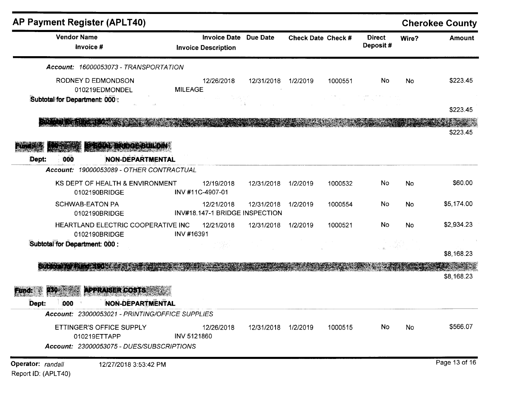| <b>AP Payment Register (APLT40)</b>                               |                  |                                                            |                     |                    |         |                           |       | <b>Cherokee County</b> |
|-------------------------------------------------------------------|------------------|------------------------------------------------------------|---------------------|--------------------|---------|---------------------------|-------|------------------------|
| <b>Vendor Name</b><br>Invoice #                                   |                  | <b>Invoice Date Due Date</b><br><b>Invoice Description</b> |                     | Check Date Check # |         | <b>Direct</b><br>Deposit# | Wire? | <b>Amount</b>          |
| Account: 16000053073 - TRANSPORTATION                             |                  |                                                            |                     |                    |         |                           |       |                        |
| RODNEY D EDMONDSON<br>010219EDMONDEL                              | <b>MILEAGE</b>   | 12/26/2018<br>in Dan                                       | 12/31/2018          | 1/2/2019           | 1000551 | No                        | No    | \$223.45               |
| Subtotal for Department: 000:                                     |                  |                                                            |                     |                    |         |                           |       | \$223.45               |
|                                                                   |                  |                                                            |                     |                    |         |                           |       | \$223.45               |
| TERCAL BRIDGE BUILDIN                                             |                  |                                                            |                     |                    |         |                           |       |                        |
| <b>NON-DEPARTMENTAL</b><br>000<br>Dept:                           |                  |                                                            |                     |                    |         |                           |       |                        |
| Account: 19000053089 - OTHER CONTRACTUAL                          |                  |                                                            |                     |                    |         |                           |       |                        |
| KS DEPT OF HEALTH & ENVIRONMENT<br>0102190BRIDGE                  | INV #11C-4907-01 | 12/19/2018                                                 | 12/31/2018          | 1/2/2019           | 1000532 | No                        | No    | \$60.00                |
| <b>SCHWAB-EATON PA</b><br>0102190BRIDGE                           |                  | 12/21/2018<br>INV#18.147-1 BRIDGE INSPECTION               | 12/31/2018          | 1/2/2019           | 1000554 | No                        | No    | \$5,174.00             |
| HEARTLAND ELECTRIC COOPERATIVE INC<br>0102190BRIDGE               | INV #16391       | 12/21/2018                                                 | 12/31/2018          | 1/2/2019           | 1000521 | <b>No</b>                 | No    | \$2,934.23             |
| Subtotal for Department: 000 :                                    |                  |                                                            |                     |                    |         |                           |       | \$8,168.23             |
|                                                                   |                  |                                                            |                     |                    |         |                           |       | Samuan<br>\$8,168.23   |
| <b>APPRAISER COSTS</b>                                            |                  |                                                            |                     |                    |         |                           |       |                        |
| NON-DEPARTMENTAL<br>000<br>Dept:                                  |                  |                                                            |                     |                    |         |                           |       |                        |
| Account: 23000053021 - PRINTING/OFFICE SUPPLIES                   |                  |                                                            |                     |                    |         |                           |       |                        |
| ETTINGER'S OFFICE SUPPLY<br>010219ETTAPP                          | INV 5121860      | 12/26/2018                                                 | 12/31/2018 1/2/2019 |                    | 1000515 | No                        | No    | \$566.07               |
| Account: 23000053075 - DUES/SUBSCRIPTIONS                         |                  |                                                            |                     |                    |         |                           |       |                        |
| Operator: randall<br>12/27/2018 3:53:42 PM<br>Report ID: (APLT40) |                  |                                                            |                     |                    |         |                           |       | Page 13 of 16          |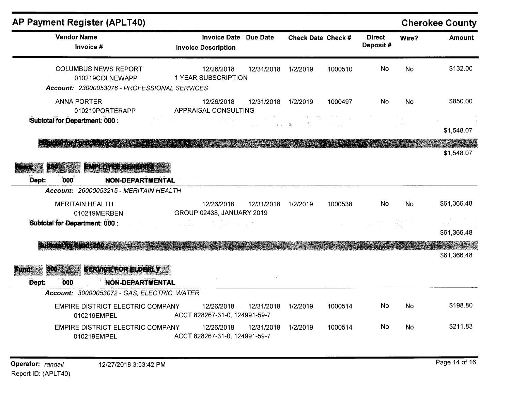| <b>AP Payment Register (APLT40)</b>                                                            |                                                   |            |                         |                                                                                                                         |                           |           | <b>Cherokee County</b> |
|------------------------------------------------------------------------------------------------|---------------------------------------------------|------------|-------------------------|-------------------------------------------------------------------------------------------------------------------------|---------------------------|-----------|------------------------|
| <b>Vendor Name</b><br>Invoice #                                                                | <b>Invoice Date</b><br><b>Invoice Description</b> | Due Date   | Check Date Check #      |                                                                                                                         | <b>Direct</b><br>Deposit# | Wire?     | <b>Amount</b>          |
| <b>COLUMBUS NEWS REPORT</b><br>010219COLNEWAPP<br>Account: 23000053076 - PROFESSIONAL SERVICES | 12/26/2018<br><b>1 YEAR SUBSCRIPTION</b>          | 12/31/2018 | 1/2/2019                | 1000510                                                                                                                 | <b>No</b>                 | <b>No</b> | \$132.00               |
| <b>ANNA PORTER</b><br>010219PORTERAPP                                                          | 12/26/2018<br>APPRAISAL CONSULTING                | 12/31/2018 | 1/2/2019                | 1000497                                                                                                                 | No.                       | <b>No</b> | \$850.00               |
| Subtotal for Department: 000 :                                                                 |                                                   |            | $\alpha = \alpha$ . The | $\mathbb{B}_{\frac{1}{2},\frac{1}{2},\ldots,\frac{1}{2},\frac{1}{2},\ldots,\frac{1}{2},\frac{1}{2},\ldots,\frac{1}{2}}$ |                           |           | \$1,548.07             |
| EMPLOYEE BENERITS                                                                              |                                                   |            |                         |                                                                                                                         |                           |           | \$1,548.07             |
| Dept:<br>000<br><b>NON-DEPARTMENTAL</b><br>Account: 26000053215 - MERITAIN HEALTH              |                                                   |            |                         |                                                                                                                         |                           |           |                        |
| <b>MERITAIN HEALTH</b><br>010219MERBEN                                                         | 12/26/2018<br>GROUP 02438, JANUARY 2019           | 12/31/2018 | 1/2/2019                | 1000538                                                                                                                 | <b>No</b>                 | <b>No</b> | \$61,366.48            |
| Subtotal for Department: 000 :                                                                 |                                                   |            |                         |                                                                                                                         |                           |           | \$61,366.48            |
| <b>THE THE PROPERTY</b>                                                                        |                                                   |            |                         |                                                                                                                         |                           |           | \$61,366.48            |
| <b>SERVICE FOR ELDERLY</b><br>き目 神<br><b>NON-DEPARTMENTAL</b><br>Dept:<br>000                  |                                                   |            |                         |                                                                                                                         |                           |           |                        |
| Account: 30000053072 - GAS, ELECTRIC, WATER                                                    |                                                   |            |                         |                                                                                                                         |                           |           |                        |
| <b>EMPIRE DISTRICT ELECTRIC COMPANY</b><br>010219EMPEL                                         | 12/26/2018<br>ACCT 828267-31-0, 124991-59-7       | 12/31/2018 | 1/2/2019                | 1000514                                                                                                                 | No.                       | No        | \$198.80               |
| <b>EMPIRE DISTRICT ELECTRIC COMPANY</b><br>010219EMPEL                                         | 12/26/2018<br>ACCT 828267-31-0, 124991-59-7       | 12/31/2018 | 1/2/2019                | 1000514                                                                                                                 | No.                       | <b>No</b> | \$211.83               |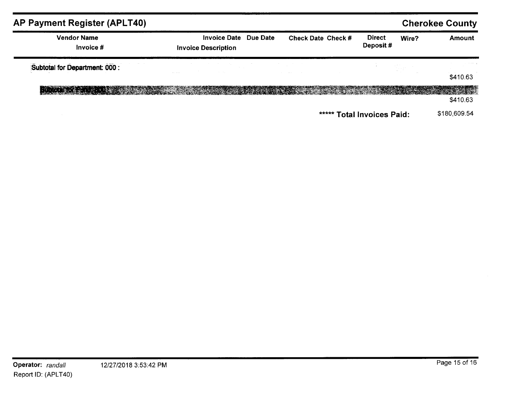| <b>AP Payment Register (APLT40)</b>                                                                               |                                                            |                                   |                            |             | <b>Cherokee County</b>       |
|-------------------------------------------------------------------------------------------------------------------|------------------------------------------------------------|-----------------------------------|----------------------------|-------------|------------------------------|
| <b>Vendor Name</b><br>Invoice #                                                                                   | <b>Invoice Date Due Date</b><br><b>Invoice Description</b> | <b>Check Date Check #</b>         | <b>Direct</b><br>Deposit#  | Wire?       | <b>Amount</b>                |
| Subtotal for Department: 000 :                                                                                    | and the company of the state of                            | the control of the control of the | <b>Contractor</b>          | a Kabupatén |                              |
|                                                                                                                   |                                                            |                                   |                            |             | \$410.63                     |
| Student for Fund and Constitution of the constitution of the constitution of the constitution of the constitution |                                                            |                                   |                            |             | <b>PACTER IN</b><br>\$410.63 |
|                                                                                                                   |                                                            |                                   | ***** Total Invoices Paid: |             | \$180,609.54                 |